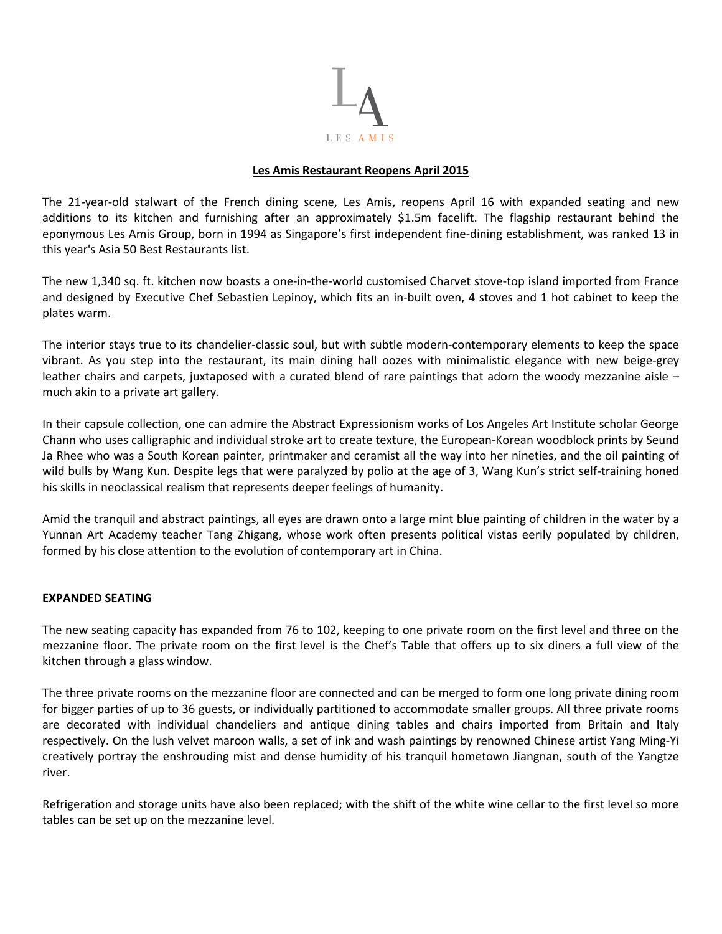

## **Les Amis Restaurant Reopens April 2015**

The 21-year-old stalwart of the French dining scene, Les Amis, reopens April 16 with expanded seating and new additions to its kitchen and furnishing after an approximately \$1.5m facelift. The flagship restaurant behind the eponymous Les Amis Group, born in 1994 as Singapore's first independent fine-dining establishment, was ranked 13 in this year's Asia 50 Best Restaurants list.

The new 1,340 sq. ft. kitchen now boasts a one-in-the-world customised Charvet stove-top island imported from France and designed by Executive Chef Sebastien Lepinoy, which fits an in-built oven, 4 stoves and 1 hot cabinet to keep the plates warm.

The interior stays true to its chandelier-classic soul, but with subtle modern-contemporary elements to keep the space vibrant. As you step into the restaurant, its main dining hall oozes with minimalistic elegance with new beige-grey leather chairs and carpets, juxtaposed with a curated blend of rare paintings that adorn the woody mezzanine aisle – much akin to a private art gallery.

In their capsule collection, one can admire the Abstract Expressionism works of Los Angeles Art Institute scholar George Chann who uses calligraphic and individual stroke art to create texture, the European-Korean woodblock prints by Seund Ja Rhee who was a South Korean painter, printmaker and ceramist all the way into her nineties, and the oil painting of wild bulls by Wang Kun. Despite legs that were paralyzed by polio at the age of 3, Wang Kun's strict self-training honed his skills in neoclassical realism that represents deeper feelings of humanity.

Amid the tranquil and abstract paintings, all eyes are drawn onto a large mint blue painting of children in the water by a Yunnan Art Academy teacher Tang Zhigang, whose work often presents political vistas eerily populated by children, formed by his close attention to the evolution of contemporary art in China.

## **EXPANDED SEATING**

The new seating capacity has expanded from 76 to 102, keeping to one private room on the first level and three on the mezzanine floor. The private room on the first level is the Chef's Table that offers up to six diners a full view of the kitchen through a glass window.

The three private rooms on the mezzanine floor are connected and can be merged to form one long private dining room for bigger parties of up to 36 guests, or individually partitioned to accommodate smaller groups. All three private rooms are decorated with individual chandeliers and antique dining tables and chairs imported from Britain and Italy respectively. On the lush velvet maroon walls, a set of ink and wash paintings by renowned Chinese artist Yang Ming-Yi creatively portray the enshrouding mist and dense humidity of his tranquil hometown Jiangnan, south of the Yangtze river.

Refrigeration and storage units have also been replaced; with the shift of the white wine cellar to the first level so more tables can be set up on the mezzanine level.